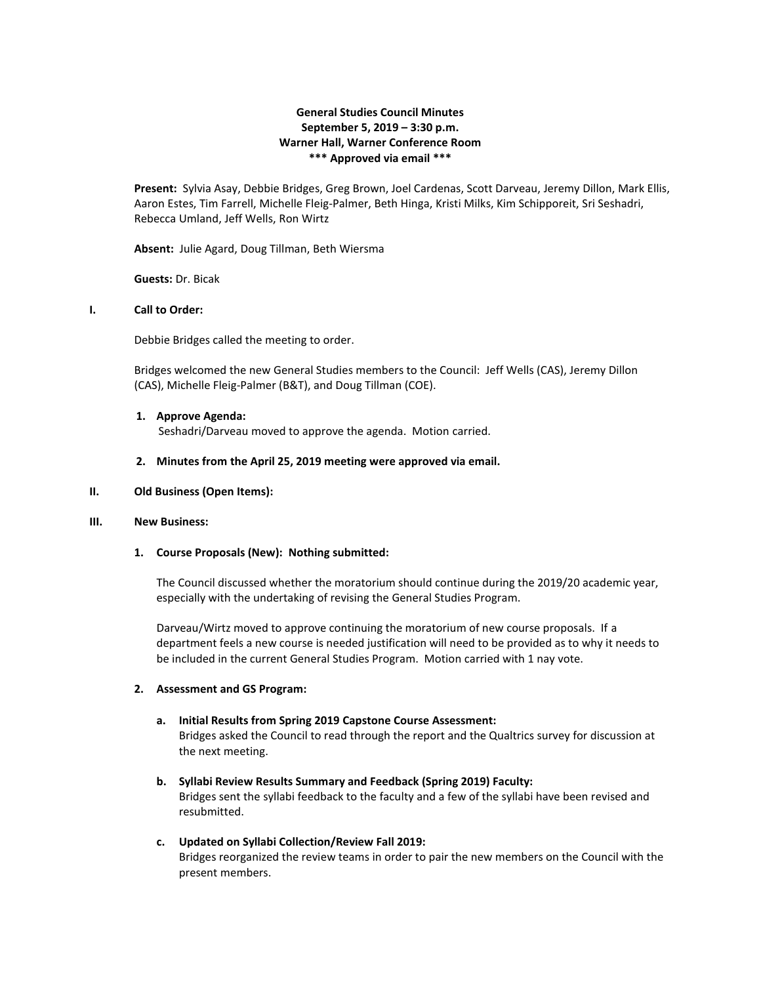# **General Studies Council Minutes September 5, 2019 – 3:30 p.m. Warner Hall, Warner Conference Room \*\*\* Approved via email \*\*\***

**Present:** Sylvia Asay, Debbie Bridges, Greg Brown, Joel Cardenas, Scott Darveau, Jeremy Dillon, Mark Ellis, Aaron Estes, Tim Farrell, Michelle Fleig-Palmer, Beth Hinga, Kristi Milks, Kim Schipporeit, Sri Seshadri, Rebecca Umland, Jeff Wells, Ron Wirtz

**Absent:** Julie Agard, Doug Tillman, Beth Wiersma

**Guests:** Dr. Bicak

### **I. Call to Order:**

Debbie Bridges called the meeting to order.

Bridges welcomed the new General Studies members to the Council: Jeff Wells (CAS), Jeremy Dillon (CAS), Michelle Fleig-Palmer (B&T), and Doug Tillman (COE).

#### **1. Approve Agenda:**

Seshadri/Darveau moved to approve the agenda. Motion carried.

**2. Minutes from the April 25, 2019 meeting were approved via email.**

#### **II. Old Business (Open Items):**

#### **III. New Business:**

#### **1. Course Proposals (New): Nothing submitted:**

The Council discussed whether the moratorium should continue during the 2019/20 academic year, especially with the undertaking of revising the General Studies Program.

Darveau/Wirtz moved to approve continuing the moratorium of new course proposals. If a department feels a new course is needed justification will need to be provided as to why it needs to be included in the current General Studies Program. Motion carried with 1 nay vote.

### **2. Assessment and GS Program:**

- **a. Initial Results from Spring 2019 Capstone Course Assessment:** Bridges asked the Council to read through the report and the Qualtrics survey for discussion at the next meeting.
- **b. Syllabi Review Results Summary and Feedback (Spring 2019) Faculty:** Bridges sent the syllabi feedback to the faculty and a few of the syllabi have been revised and resubmitted.
- **c. Updated on Syllabi Collection/Review Fall 2019:** Bridges reorganized the review teams in order to pair the new members on the Council with the present members.